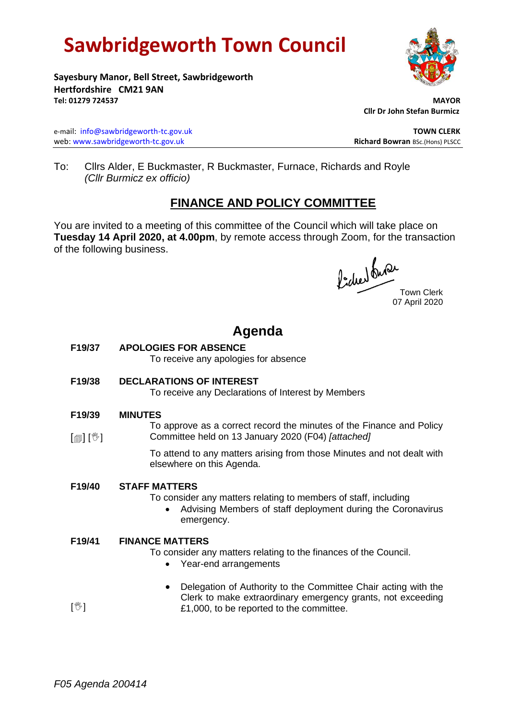# **Sawbridgeworth Town Council**



**Sayesbury Manor, Bell Street, Sawbridgeworth Hertfordshire CM21 9AN Tel: 01279 724537 MAYOR**

e-mail: [info@sawbridgeworth-tc.gov.uk](mailto:info@sawbridgeworth-tc.gov.uk) **TOWN CLERK** web: www.sawbridgeworth-tc.gov.uk<br> **Richard Bowran** BSc.(Hons) PLSCC

 **Cllr Dr John Stefan Burmicz**

To: Cllrs Alder, E Buckmaster, R Buckmaster, Furnace, Richards and Royle *(Cllr Burmicz ex officio)*

## **FINANCE AND POLICY COMMITTEE**

You are invited to a meeting of this committee of the Council which will take place on **Tuesday 14 April 2020, at 4.00pm**, by remote access through Zoom, for the transaction of the following business.

fided ture

07 April 2020

## **Agenda**

**F19/37 APOLOGIES FOR ABSENCE**

To receive any apologies for absence

**F19/38 DECLARATIONS OF INTEREST**

To receive any Declarations of Interest by Members

- **F19/39 MINUTES**
- $\lceil$   $\blacksquare$   $\rceil$   $\lceil$   $\mathbb{V}$   $\rceil$ To approve as a correct record the minutes of the Finance and Policy Committee held on 13 January 2020 (F04) *[attached]*

To attend to any matters arising from those Minutes and not dealt with elsewhere on this Agenda.

### **F19/40 STAFF MATTERS**

To consider any matters relating to members of staff, including

• Advising Members of staff deployment during the Coronavirus emergency.

#### **F19/41 FINANCE MATTERS**

- To consider any matters relating to the finances of the Council.
	- Year-end arrangements
	- Delegation of Authority to the Committee Chair acting with the Clerk to make extraordinary emergency grants, not exceeding £1,000, to be reported to the committee.

 $\mathbb{I}^{\mathbb{M}}$